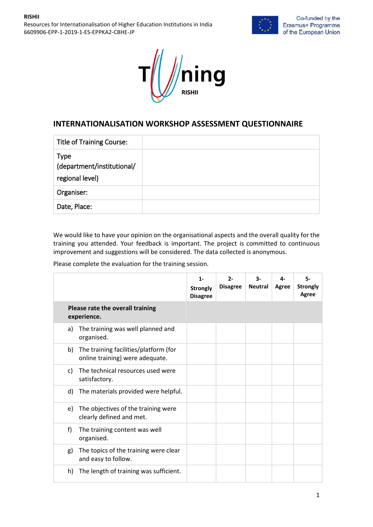Resources for Internationalisation of Higher Education Institutions in India 6609906-EPP-1-2019-1-ES-EPPKA2-CBHE-JP





## **INTERNATIONALISATION WORKSHOP ASSESSMENT QUESTIONNAIRE**

| <b>Title of Training Course:</b>                             |  |
|--------------------------------------------------------------|--|
| <b>Type</b><br>(department/institutional/<br>regional level) |  |
| Organiser:                                                   |  |
| Date, Place:                                                 |  |

We would like to have your opinion on the organisational aspects and the overall quality for the training you attended. Your feedback is important. The project is committed to continuous improvement and suggestions will be considered. The data collected is anonymous.

Please complete the evaluation for the training session.

|                                                                                | $1 -$<br><b>Strongly</b><br><b>Disagree</b> | $2 -$<br><b>Disagree</b> | 3-<br><b>Neutral</b> | 4-<br>Agree | 5-<br><b>Strongly</b><br>Agree |
|--------------------------------------------------------------------------------|---------------------------------------------|--------------------------|----------------------|-------------|--------------------------------|
| Please rate the overall training<br>experience.                                |                                             |                          |                      |             |                                |
| The training was well planned and<br>a)<br>organised.                          |                                             |                          |                      |             |                                |
| The training facilities/platform (for<br>b)<br>online training) were adequate. |                                             |                          |                      |             |                                |
| The technical resources used were<br>C)<br>satisfactory.                       |                                             |                          |                      |             |                                |
| The materials provided were helpful.<br>d)                                     |                                             |                          |                      |             |                                |
| The objectives of the training were<br>e)<br>clearly defined and met.          |                                             |                          |                      |             |                                |
| f)<br>The training content was well<br>organised.                              |                                             |                          |                      |             |                                |
| The topics of the training were clear<br>g)<br>and easy to follow.             |                                             |                          |                      |             |                                |
| The length of training was sufficient.<br>h)                                   |                                             |                          |                      |             |                                |